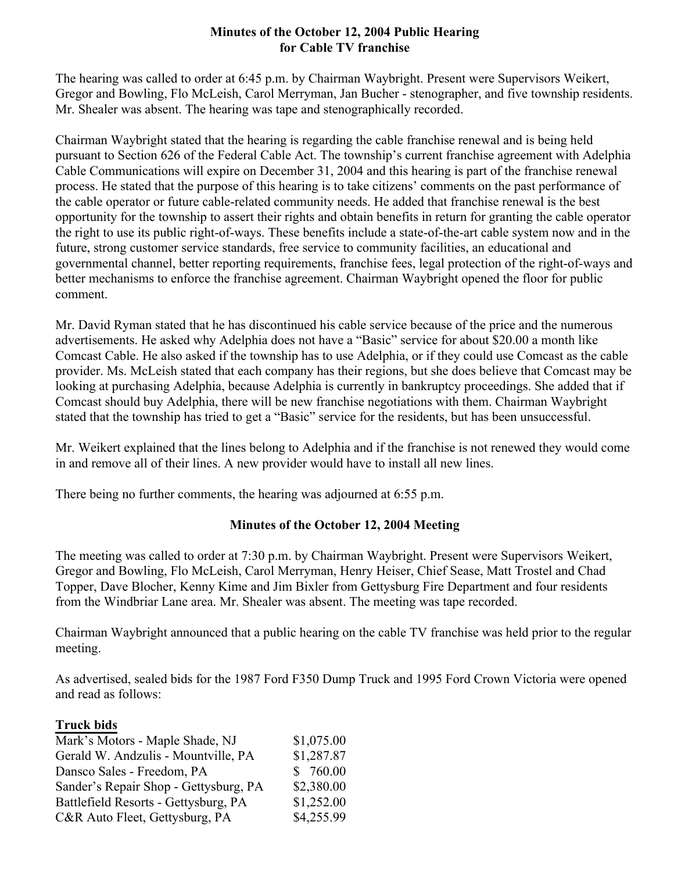## **Minutes of the October 12, 2004 Public Hearing for Cable TV franchise**

The hearing was called to order at 6:45 p.m. by Chairman Waybright. Present were Supervisors Weikert, Gregor and Bowling, Flo McLeish, Carol Merryman, Jan Bucher - stenographer, and five township residents. Mr. Shealer was absent. The hearing was tape and stenographically recorded.

Chairman Waybright stated that the hearing is regarding the cable franchise renewal and is being held pursuant to Section 626 of the Federal Cable Act. The township's current franchise agreement with Adelphia Cable Communications will expire on December 31, 2004 and this hearing is part of the franchise renewal process. He stated that the purpose of this hearing is to take citizens' comments on the past performance of the cable operator or future cable-related community needs. He added that franchise renewal is the best opportunity for the township to assert their rights and obtain benefits in return for granting the cable operator the right to use its public right-of-ways. These benefits include a state-of-the-art cable system now and in the future, strong customer service standards, free service to community facilities, an educational and governmental channel, better reporting requirements, franchise fees, legal protection of the right-of-ways and better mechanisms to enforce the franchise agreement. Chairman Waybright opened the floor for public comment.

Mr. David Ryman stated that he has discontinued his cable service because of the price and the numerous advertisements. He asked why Adelphia does not have a "Basic" service for about \$20.00 a month like Comcast Cable. He also asked if the township has to use Adelphia, or if they could use Comcast as the cable provider. Ms. McLeish stated that each company has their regions, but she does believe that Comcast may be looking at purchasing Adelphia, because Adelphia is currently in bankruptcy proceedings. She added that if Comcast should buy Adelphia, there will be new franchise negotiations with them. Chairman Waybright stated that the township has tried to get a "Basic" service for the residents, but has been unsuccessful.

Mr. Weikert explained that the lines belong to Adelphia and if the franchise is not renewed they would come in and remove all of their lines. A new provider would have to install all new lines.

There being no further comments, the hearing was adjourned at 6:55 p.m.

## **Minutes of the October 12, 2004 Meeting**

The meeting was called to order at 7:30 p.m. by Chairman Waybright. Present were Supervisors Weikert, Gregor and Bowling, Flo McLeish, Carol Merryman, Henry Heiser, Chief Sease, Matt Trostel and Chad Topper, Dave Blocher, Kenny Kime and Jim Bixler from Gettysburg Fire Department and four residents from the Windbriar Lane area. Mr. Shealer was absent. The meeting was tape recorded.

Chairman Waybright announced that a public hearing on the cable TV franchise was held prior to the regular meeting.

As advertised, sealed bids for the 1987 Ford F350 Dump Truck and 1995 Ford Crown Victoria were opened and read as follows:

## **Truck bids**

| Mark's Motors - Maple Shade, NJ       | \$1,075.00 |
|---------------------------------------|------------|
| Gerald W. Andzulis - Mountville, PA   | \$1,287.87 |
| Dansco Sales - Freedom, PA            | \$760.00   |
| Sander's Repair Shop - Gettysburg, PA | \$2,380.00 |
| Battlefield Resorts - Gettysburg, PA  | \$1,252.00 |
| C&R Auto Fleet, Gettysburg, PA        | \$4,255.99 |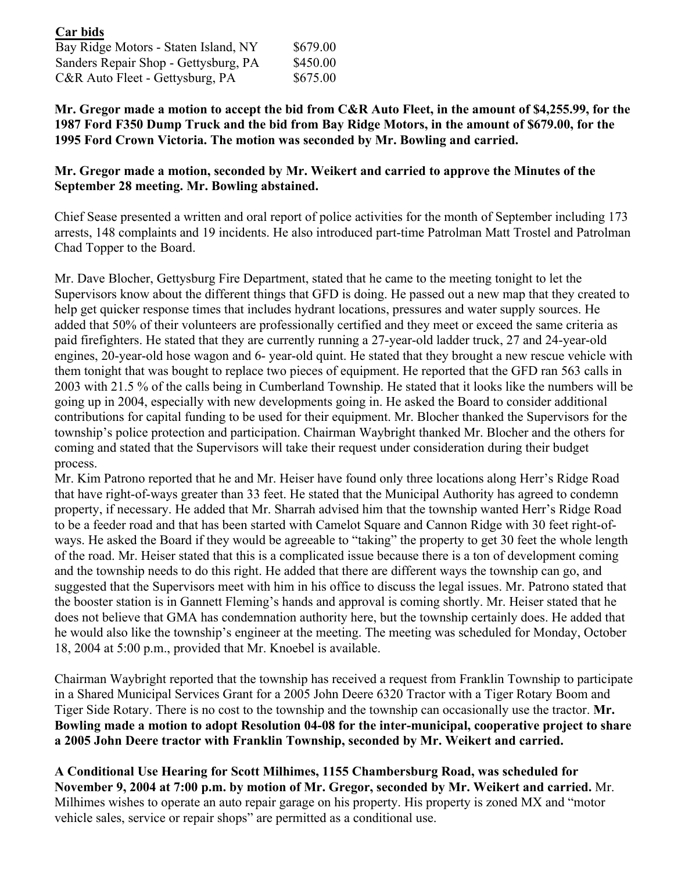| Car bids                             |          |
|--------------------------------------|----------|
| Bay Ridge Motors - Staten Island, NY | \$679.00 |
| Sanders Repair Shop - Gettysburg, PA | \$450.00 |
| C&R Auto Fleet - Gettysburg, PA      | \$675.00 |

**Mr. Gregor made a motion to accept the bid from C&R Auto Fleet, in the amount of \$4,255.99, for the 1987 Ford F350 Dump Truck and the bid from Bay Ridge Motors, in the amount of \$679.00, for the 1995 Ford Crown Victoria. The motion was seconded by Mr. Bowling and carried.**

## **Mr. Gregor made a motion, seconded by Mr. Weikert and carried to approve the Minutes of the September 28 meeting. Mr. Bowling abstained.**

Chief Sease presented a written and oral report of police activities for the month of September including 173 arrests, 148 complaints and 19 incidents. He also introduced part-time Patrolman Matt Trostel and Patrolman Chad Topper to the Board.

Mr. Dave Blocher, Gettysburg Fire Department, stated that he came to the meeting tonight to let the Supervisors know about the different things that GFD is doing. He passed out a new map that they created to help get quicker response times that includes hydrant locations, pressures and water supply sources. He added that 50% of their volunteers are professionally certified and they meet or exceed the same criteria as paid firefighters. He stated that they are currently running a 27-year-old ladder truck, 27 and 24-year-old engines, 20-year-old hose wagon and 6- year-old quint. He stated that they brought a new rescue vehicle with them tonight that was bought to replace two pieces of equipment. He reported that the GFD ran 563 calls in 2003 with 21.5 % of the calls being in Cumberland Township. He stated that it looks like the numbers will be going up in 2004, especially with new developments going in. He asked the Board to consider additional contributions for capital funding to be used for their equipment. Mr. Blocher thanked the Supervisors for the township's police protection and participation. Chairman Waybright thanked Mr. Blocher and the others for coming and stated that the Supervisors will take their request under consideration during their budget process.

Mr. Kim Patrono reported that he and Mr. Heiser have found only three locations along Herr's Ridge Road that have right-of-ways greater than 33 feet. He stated that the Municipal Authority has agreed to condemn property, if necessary. He added that Mr. Sharrah advised him that the township wanted Herr's Ridge Road to be a feeder road and that has been started with Camelot Square and Cannon Ridge with 30 feet right-ofways. He asked the Board if they would be agreeable to "taking" the property to get 30 feet the whole length of the road. Mr. Heiser stated that this is a complicated issue because there is a ton of development coming and the township needs to do this right. He added that there are different ways the township can go, and suggested that the Supervisors meet with him in his office to discuss the legal issues. Mr. Patrono stated that the booster station is in Gannett Fleming's hands and approval is coming shortly. Mr. Heiser stated that he does not believe that GMA has condemnation authority here, but the township certainly does. He added that he would also like the township's engineer at the meeting. The meeting was scheduled for Monday, October 18, 2004 at 5:00 p.m., provided that Mr. Knoebel is available.

Chairman Waybright reported that the township has received a request from Franklin Township to participate in a Shared Municipal Services Grant for a 2005 John Deere 6320 Tractor with a Tiger Rotary Boom and Tiger Side Rotary. There is no cost to the township and the township can occasionally use the tractor. **Mr. Bowling made a motion to adopt Resolution 04-08 for the inter-municipal, cooperative project to share a 2005 John Deere tractor with Franklin Township, seconded by Mr. Weikert and carried.** 

**A Conditional Use Hearing for Scott Milhimes, 1155 Chambersburg Road, was scheduled for November 9, 2004 at 7:00 p.m. by motion of Mr. Gregor, seconded by Mr. Weikert and carried.** Mr. Milhimes wishes to operate an auto repair garage on his property. His property is zoned MX and "motor vehicle sales, service or repair shops" are permitted as a conditional use.